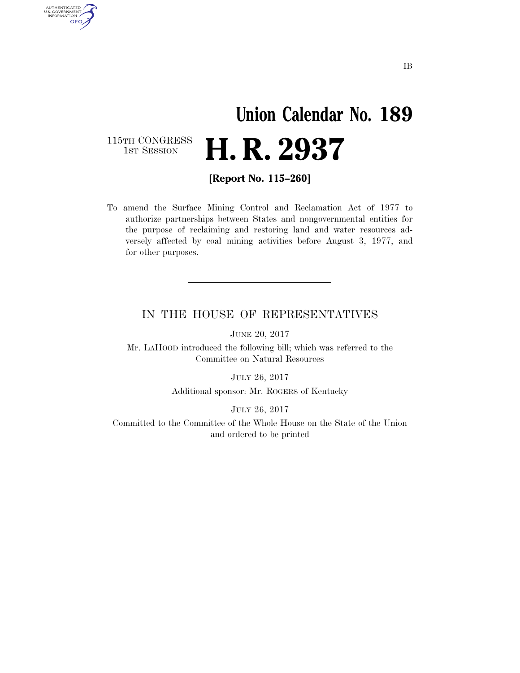### **Union Calendar No. 189**  115TH CONGRESS<br>1st Session H. R. 2937

AUTHENTICATED<br>U.S. GOVERNMENT<br>INFORMATION GPO

**[Report No. 115–260]** 

To amend the Surface Mining Control and Reclamation Act of 1977 to authorize partnerships between States and nongovernmental entities for the purpose of reclaiming and restoring land and water resources adversely affected by coal mining activities before August 3, 1977, and for other purposes.

#### IN THE HOUSE OF REPRESENTATIVES

JUNE 20, 2017

Mr. LAHOOD introduced the following bill; which was referred to the Committee on Natural Resources

JULY 26, 2017

Additional sponsor: Mr. ROGERS of Kentucky

JULY 26, 2017

Committed to the Committee of the Whole House on the State of the Union and ordered to be printed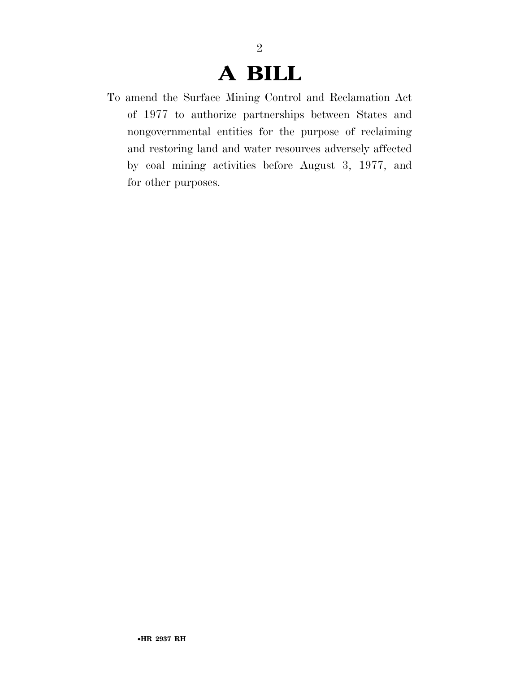## **A BILL**

2

To amend the Surface Mining Control and Reclamation Act of 1977 to authorize partnerships between States and nongovernmental entities for the purpose of reclaiming and restoring land and water resources adversely affected by coal mining activities before August 3, 1977, and for other purposes.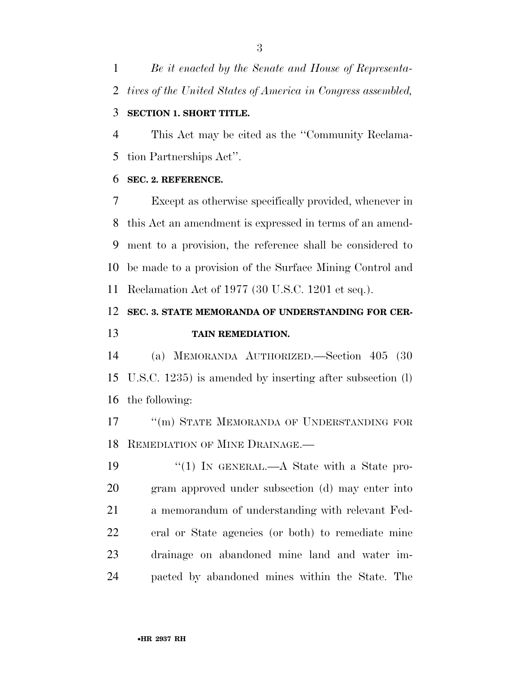*Be it enacted by the Senate and House of Representa-tives of the United States of America in Congress assembled,* 

#### **SECTION 1. SHORT TITLE.**

 This Act may be cited as the ''Community Reclama-tion Partnerships Act''.

#### **SEC. 2. REFERENCE.**

 Except as otherwise specifically provided, whenever in this Act an amendment is expressed in terms of an amend- ment to a provision, the reference shall be considered to be made to a provision of the Surface Mining Control and Reclamation Act of 1977 (30 U.S.C. 1201 et seq.).

### **SEC. 3. STATE MEMORANDA OF UNDERSTANDING FOR CER-TAIN REMEDIATION.**

 (a) MEMORANDA AUTHORIZED.—Section 405 (30 U.S.C. 1235) is amended by inserting after subsection (l) the following:

17 <sup>"</sup>(m) STATE MEMORANDA OF UNDERSTANDING FOR REMEDIATION OF MINE DRAINAGE.—

19 "(1) IN GENERAL.—A State with a State pro- gram approved under subsection (d) may enter into a memorandum of understanding with relevant Fed- eral or State agencies (or both) to remediate mine drainage on abandoned mine land and water im-pacted by abandoned mines within the State. The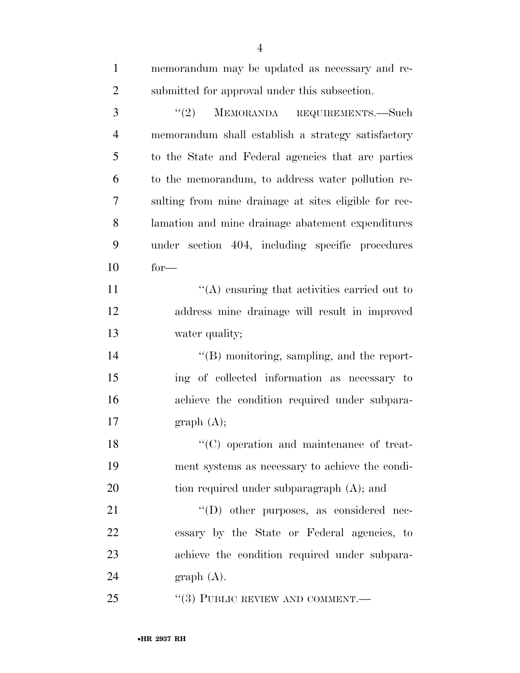| $\mathbf{1}$   | memorandum may be updated as necessary and re-        |
|----------------|-------------------------------------------------------|
| $\overline{c}$ | submitted for approval under this subsection.         |
| 3              | (2)<br>MEMORANDA REQUIREMENTS.—Such                   |
| $\overline{4}$ | memorandum shall establish a strategy satisfactory    |
| 5              | to the State and Federal agencies that are parties    |
| 6              | to the memorandum, to address water pollution re-     |
| $\tau$         | sulting from mine drainage at sites eligible for rec- |
| 8              | lamation and mine drainage abatement expenditures     |
| 9              | under section 404, including specific procedures      |
| 10             | $for-$                                                |
| 11             | $\lq\lq$ ensuring that activities carried out to      |
| 12             | address mine drainage will result in improved         |
| 13             | water quality;                                        |
| 14             | "(B) monitoring, sampling, and the report-            |
| 15             | ing of collected information as necessary to          |
| 16             | achieve the condition required under subpara-         |
| 17             | graph(A);                                             |
| 18             | $\lq\lq$ (C) operation and maintenance of treat-      |
| 19             | ment systems as necessary to achieve the condi-       |
| 20             | tion required under subparagraph $(A)$ ; and          |
| 21             | "(D) other purposes, as considered nec-               |
| 22             | essary by the State or Federal agencies, to           |
| 23             | achieve the condition required under subpara-         |
| 24             | graph(A).                                             |
| 25             | $``(3)$ PUBLIC REVIEW AND COMMENT.—                   |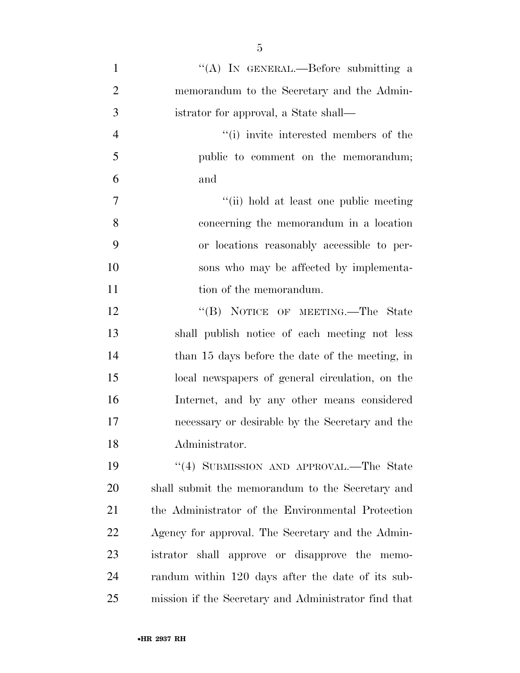| $\mathbf{1}$   | "(A) IN GENERAL.—Before submitting a                 |
|----------------|------------------------------------------------------|
| $\overline{2}$ | memorandum to the Secretary and the Admin-           |
| 3              | istrator for approval, a State shall—                |
| $\overline{4}$ | "(i) invite interested members of the                |
| 5              | public to comment on the memorandum;                 |
| 6              | and                                                  |
| 7              | "(ii) hold at least one public meeting               |
| 8              | concerning the memorandum in a location              |
| 9              | or locations reasonably accessible to per-           |
| 10             | sons who may be affected by implementa-              |
| 11             | tion of the memorandum.                              |
| 12             | "(B) NOTICE OF MEETING.—The State                    |
| 13             | shall publish notice of each meeting not less        |
| 14             | than 15 days before the date of the meeting, in      |
| 15             | local newspapers of general circulation, on the      |
| 16             | Internet, and by any other means considered          |
| 17             | necessary or desirable by the Secretary and the      |
| 18             | Administrator.                                       |
| 19             | "(4) SUBMISSION AND APPROVAL.—The State              |
| 20             | shall submit the memorandum to the Secretary and     |
| 21             | the Administrator of the Environmental Protection    |
| 22             | Agency for approval. The Secretary and the Admin-    |
| 23             | istrator shall approve or disapprove the memo-       |
| 24             | randum within 120 days after the date of its sub-    |
| 25             | mission if the Secretary and Administrator find that |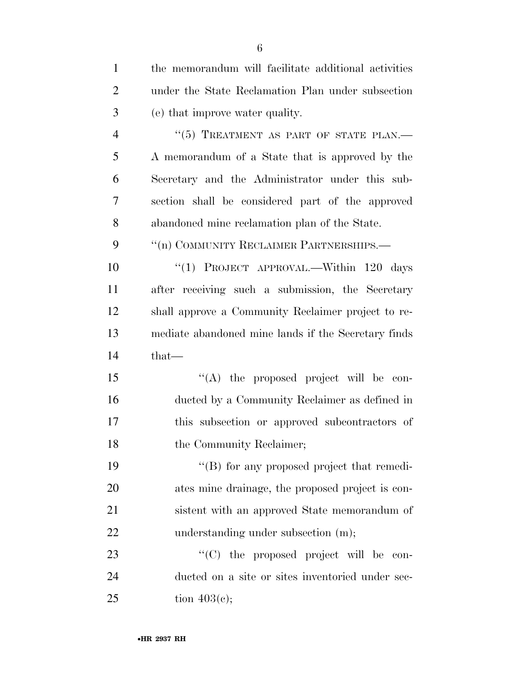| $\mathbf{1}$   | the memorandum will facilitate additional activities |
|----------------|------------------------------------------------------|
| $\overline{2}$ | under the State Reclamation Plan under subsection    |
| 3              | (e) that improve water quality.                      |
| $\overline{4}$ | "(5) TREATMENT AS PART OF STATE PLAN.—               |
| 5              | A memorandum of a State that is approved by the      |
| 6              | Secretary and the Administrator under this sub-      |
| 7              | section shall be considered part of the approved     |
| 8              | abandoned mine reclamation plan of the State.        |
| 9              | "(n) COMMUNITY RECLAIMER PARTNERSHIPS.—              |
| 10             | "(1) PROJECT APPROVAL.—Within 120 days               |
| 11             | after receiving such a submission, the Secretary     |
| 12             | shall approve a Community Reclaimer project to re-   |
| 13             | mediate abandoned mine lands if the Secretary finds  |
| 14             | that-                                                |
| 15             | "(A) the proposed project will be con-               |
| 16             | ducted by a Community Reclaimer as defined in        |
| 17             | this subsection or approved subcontractors of        |
| 18             | the Community Reclaimer;                             |
| 19             | $\lq\lq (B)$ for any proposed project that remedi-   |
| 20             | ates mine drainage, the proposed project is con-     |
| 21             | sistent with an approved State memorandum of         |
| 22             | understanding under subsection (m);                  |
| 23             | $\lq\lq$ (C) the proposed project will be<br>con-    |
| 24             | ducted on a site or sites inventoried under sec-     |
| 25             | tion $403(c)$ ;                                      |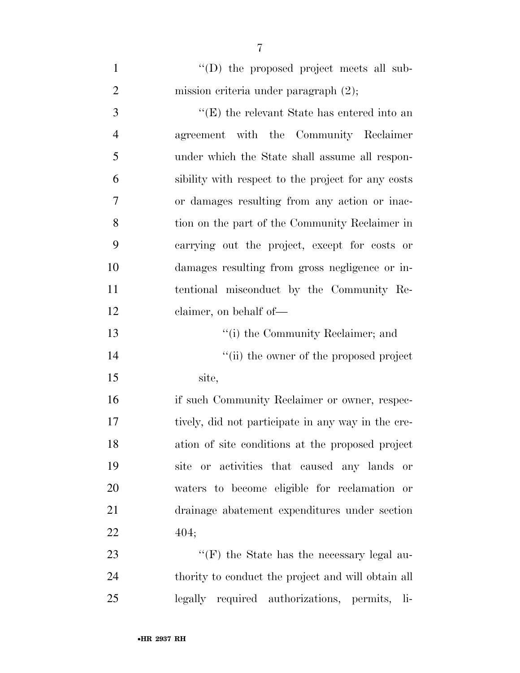| $\mathbf{1}$   | "(D) the proposed project meets all sub-           |
|----------------|----------------------------------------------------|
| $\overline{2}$ | mission criteria under paragraph $(2)$ ;           |
| 3              | "(E) the relevant State has entered into an        |
| $\overline{4}$ | agreement with the Community Reclaimer             |
| 5              | under which the State shall assume all respon-     |
| 6              | sibility with respect to the project for any costs |
| 7              | or damages resulting from any action or inac-      |
| 8              | tion on the part of the Community Reclaimer in     |
| 9              | carrying out the project, except for costs or      |
| 10             | damages resulting from gross negligence or in-     |
| 11             | tentional misconduct by the Community Re-          |
| 12             | claimer, on behalf of—                             |
| 13             | "(i) the Community Reclaimer; and                  |
| 14             | "(ii) the owner of the proposed project            |
| 15             | site,                                              |
| 16             | if such Community Reclaimer or owner, respec-      |
| 17             | tively, did not participate in any way in the cre- |
| 18             | ation of site conditions at the proposed project   |
| 19             | site or activities that caused any lands<br>or     |
| 20             | waters to become eligible for reclamation or       |
| 21             | drainage abatement expenditures under section      |
| 22             | 404;                                               |
| 23             | "(F) the State has the necessary legal au-         |
| 24             | thority to conduct the project and will obtain all |
| 25             | legally required authorizations, permits, li-      |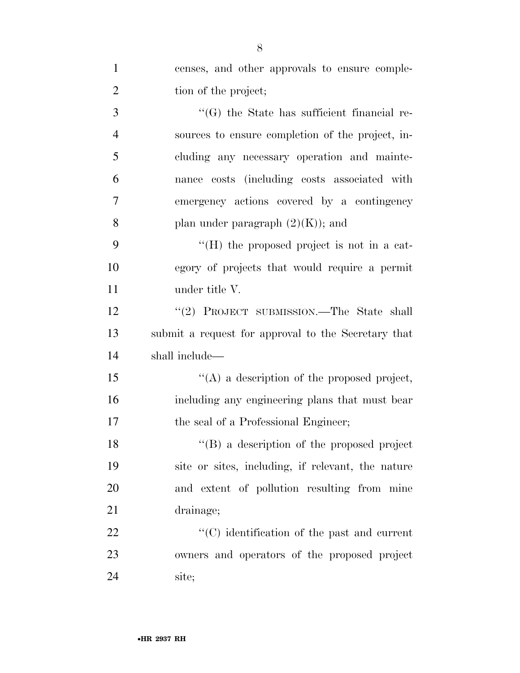| $\mathbf{1}$   | censes, and other approvals to ensure comple-       |
|----------------|-----------------------------------------------------|
| $\overline{2}$ | tion of the project;                                |
| 3              | "(G) the State has sufficient financial re-         |
| 4              | sources to ensure completion of the project, in-    |
| 5              | cluding any necessary operation and mainte-         |
| 6              | nance costs (including costs associated with        |
| 7              | emergency actions covered by a contingency          |
| 8              | plan under paragraph $(2)(K)$ ; and                 |
| 9              | $H(H)$ the proposed project is not in a cat-        |
| 10             | egory of projects that would require a permit       |
| 11             | under title V.                                      |
| 12             | "(2) PROJECT SUBMISSION.—The State shall            |
| 13             | submit a request for approval to the Secretary that |
| 14             | shall include—                                      |
| 15             | $\lq\lq$ a description of the proposed project,     |
| 16             | including any engineering plans that must bear      |
| 17             | the seal of a Professional Engineer;                |
| 18             | $\lq\lq (B)$ a description of the proposed project  |
| 19             | site or sites, including, if relevant, the nature   |
| 20             | and extent of pollution resulting from mine         |
| 21             | drainage;                                           |
|                |                                                     |
| 22             | "(C) identification of the past and current         |
| 23             | owners and operators of the proposed project        |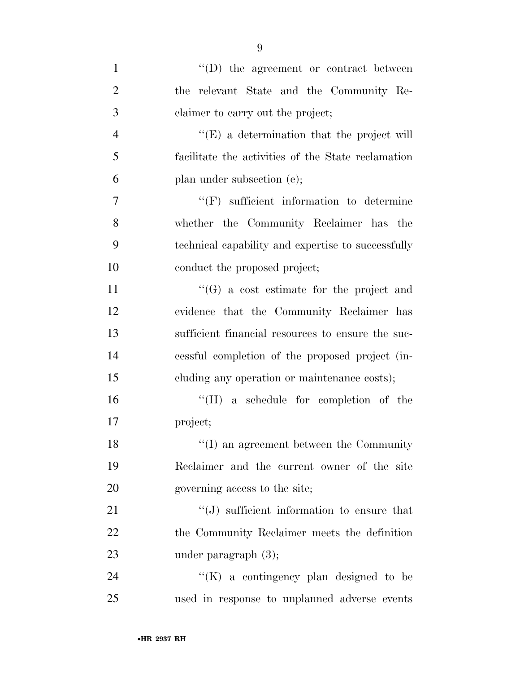| $\mathbf{1}$   | $\lq\lq$ (D) the agreement or contract between     |
|----------------|----------------------------------------------------|
| $\overline{2}$ | the relevant State and the Community Re-           |
| 3              | claimer to carry out the project;                  |
| $\overline{4}$ | "(E) a determination that the project will         |
| 5              | facilitate the activities of the State reclamation |
| 6              | plan under subsection (e);                         |
| 7              | $``(F)$ sufficient information to determine        |
| 8              | whether the Community Reclaimer has the            |
| 9              | technical capability and expertise to successfully |
| 10             | conduct the proposed project;                      |
| 11             | $\lq\lq(G)$ a cost estimate for the project and    |
| 12             | evidence that the Community Reclaimer has          |
| 13             | sufficient financial resources to ensure the suc-  |
| 14             | cessful completion of the proposed project (in-    |
| 15             | eluding any operation or maintenance costs);       |
| 16             | $\lq\lq (H)$ a schedule for completion of the      |
| 17             | project;                                           |
| 18             | $\lq\lq$ (I) an agreement between the Community    |
| 19             | Reclaimer and the current owner of the site        |
| 20             | governing access to the site;                      |
| 21             | $\lq\lq(J)$ sufficient information to ensure that  |
| 22             | the Community Reclaimer meets the definition       |
| 23             | under paragraph $(3)$ ;                            |
| 24             | " $(K)$ a contingency plan designed to be          |
| 25             | used in response to unplanned adverse events       |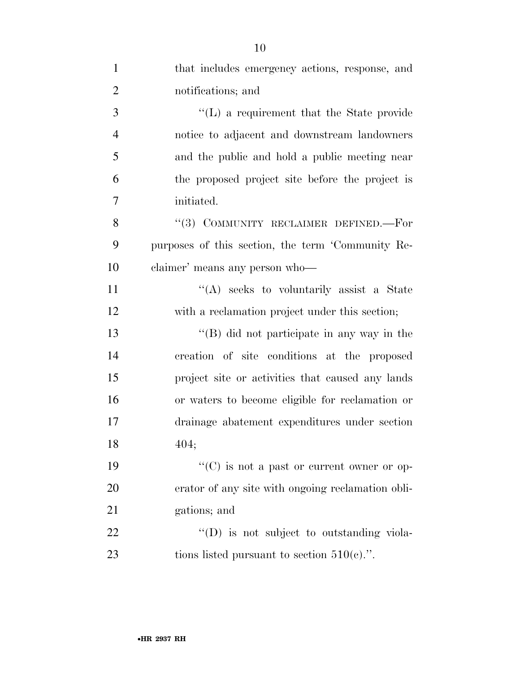| $\mathbf{1}$   | that includes emergency actions, response, and     |
|----------------|----------------------------------------------------|
| $\overline{2}$ | notifications; and                                 |
| 3              | "(L) a requirement that the State provide          |
| $\overline{4}$ | notice to adjacent and downstream landowners       |
| 5              | and the public and hold a public meeting near      |
| 6              | the proposed project site before the project is    |
| 7              | initiated.                                         |
| 8              | "(3) COMMUNITY RECLAIMER DEFINED.-For              |
| 9              | purposes of this section, the term 'Community Re-  |
| 10             | claimer' means any person who-                     |
| 11             | "(A) seeks to voluntarily assist a State           |
| 12             | with a reclamation project under this section;     |
| 13             | $\lq\lq (B)$ did not participate in any way in the |
| 14             | creation of site conditions at the proposed        |
| 15             | project site or activities that caused any lands   |
| 16             | or waters to become eligible for reclamation or    |
| 17             | drainage abatement expenditures under section      |
| 18             | 404;                                               |
| 19             | "(C) is not a past or current owner or op-         |
| 20             | erator of any site with ongoing reclamation obli-  |
| 21             | gations; and                                       |
| 22             | $\lq\lq$ (D) is not subject to outstanding viola-  |
| 23             | tions listed pursuant to section $510(e)$ .".      |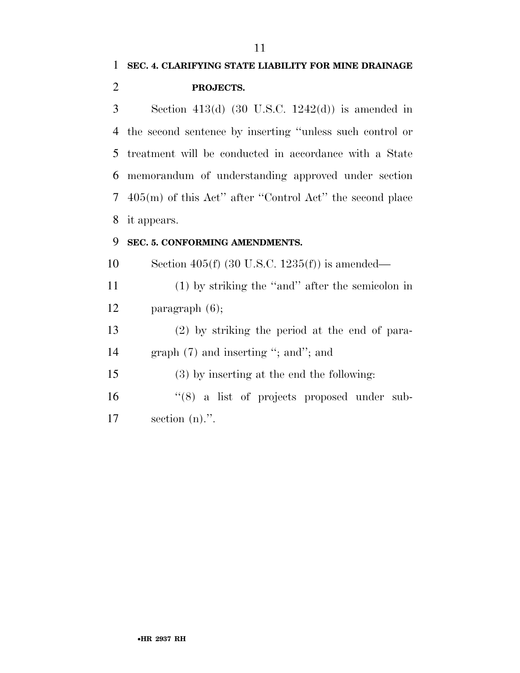Section 413(d) (30 U.S.C. 1242(d)) is amended in the second sentence by inserting ''unless such control or treatment will be conducted in accordance with a State memorandum of understanding approved under section 405(m) of this Act'' after ''Control Act'' the second place it appears.

#### **SEC. 5. CONFORMING AMENDMENTS.**

Section 405(f) (30 U.S.C. 1235(f)) is amended—

 (1) by striking the ''and'' after the semicolon in paragraph (6);

 (2) by striking the period at the end of para-14 graph (7) and inserting "; and"; and

(3) by inserting at the end the following:

 ''(8) a list of projects proposed under sub-section (n).''.